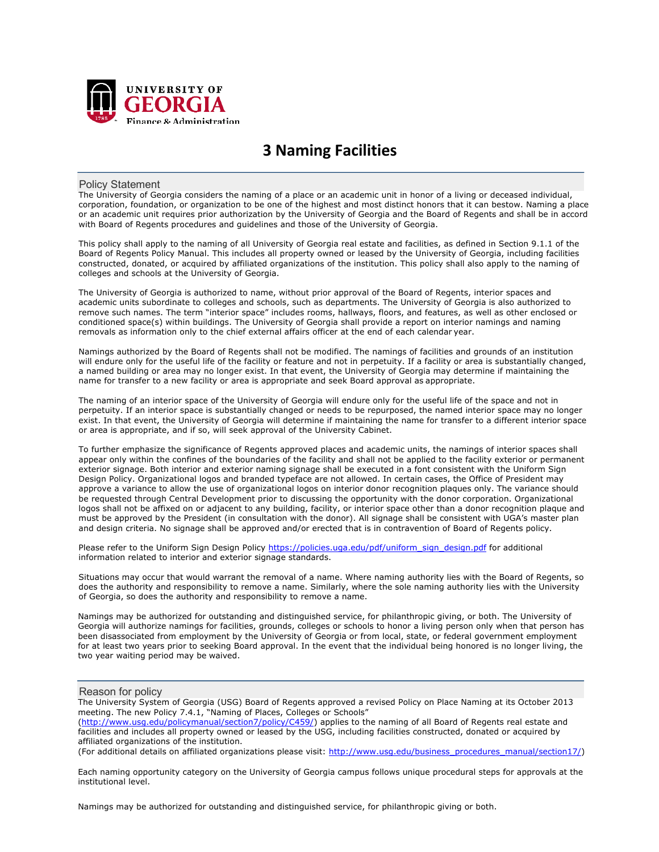

# **3 Naming Facilities**

#### Policy Statement

The University of Georgia considers the naming of a place or an academic unit in honor of a living or deceased individual, corporation, foundation, or organization to be one of the highest and most distinct honors that it can bestow. Naming a place or an academic unit requires prior authorization by the University of Georgia and the Board of Regents and shall be in accord with Board of Regents procedures and guidelines and those of the University of Georgia.

This policy shall apply to the naming of all University of Georgia real estate and facilities, as defined in Section 9.1.1 of the Board of Regents Policy Manual. This includes all property owned or leased by the University of Georgia, including facilities constructed, donated, or acquired by affiliated organizations of the institution. This policy shall also apply to the naming of colleges and schools at the University of Georgia.

The University of Georgia is authorized to name, without prior approval of the Board of Regents, interior spaces and academic units subordinate to colleges and schools, such as departments. The University of Georgia is also authorized to remove such names. The term "interior space" includes rooms, hallways, floors, and features, as well as other enclosed or conditioned space(s) within buildings. The University of Georgia shall provide a report on interior namings and naming removals as information only to the chief external affairs officer at the end of each calendar year.

Namings authorized by the Board of Regents shall not be modified. The namings of facilities and grounds of an institution will endure only for the useful life of the facility or feature and not in perpetuity. If a facility or area is substantially changed, a named building or area may no longer exist. In that event, the University of Georgia may determine if maintaining the name for transfer to a new facility or area is appropriate and seek Board approval as appropriate.

The naming of an interior space of the University of Georgia will endure only for the useful life of the space and not in perpetuity. If an interior space is substantially changed or needs to be repurposed, the named interior space may no longer exist. In that event, the University of Georgia will determine if maintaining the name for transfer to a different interior space or area is appropriate, and if so, will seek approval of the University Cabinet.

To further emphasize the significance of Regents approved places and academic units, the namings of interior spaces shall appear only within the confines of the boundaries of the facility and shall not be applied to the facility exterior or permanent exterior signage. Both interior and exterior naming signage shall be executed in a font consistent with the Uniform Sign Design Policy. Organizational logos and branded typeface are not allowed. In certain cases, the Office of President may approve a variance to allow the use of organizational logos on interior donor recognition plaques only. The variance should be requested through Central Development prior to discussing the opportunity with the donor corporation. Organizational logos shall not be affixed on or adjacent to any building, facility, or interior space other than a donor recognition plaque and must be approved by the President (in consultation with the donor). All signage shall be consistent with UGA's master plan and design criteria. No signage shall be approved and/or erected that is in contravention of Board of Regents policy.

Please refer to the Uniform Sign Design Policy https://policies.uga.edu/pdf/uniform\_sign\_design.pdf for additional information related to interior and exterior signage standards.

Situations may occur that would warrant the removal of a name. Where naming authority lies with the Board of Regents, so does the authority and responsibility to remove a name. Similarly, where the sole naming authority lies with the University of Georgia, so does the authority and responsibility to remove a name.

Namings may be authorized for outstanding and distinguished service, for philanthropic giving, or both. The University of Georgia will authorize namings for facilities, grounds, colleges or schools to honor a living person only when that person has been disassociated from employment by the University of Georgia or from local, state, or federal government employment for at least two years prior to seeking Board approval. In the event that the individual being honored is no longer living, the two year waiting period may be waived.

#### Reason for policy

The University System of Georgia (USG) Board of Regents approved a revised Policy on Place Naming at its October 2013 meeting. The new Policy 7.4.1, "Naming of Places, Colleges or Schools"

(http://www.usq.edu/policymanual/section7/policy/C459/) applies to the naming of all Board of Regents real estate and facilities and includes all property owned or leased by the USG, including facilities constructed, donated or acquired by affiliated organizations of the institution.

(For additional details on affiliated organizations please visit: http://www.usg.edu/business\_procedures\_manual/section17/)

Each naming opportunity category on the University of Georgia campus follows unique procedural steps for approvals at the institutional level.

Namings may be authorized for outstanding and distinguished service, for philanthropic giving or both.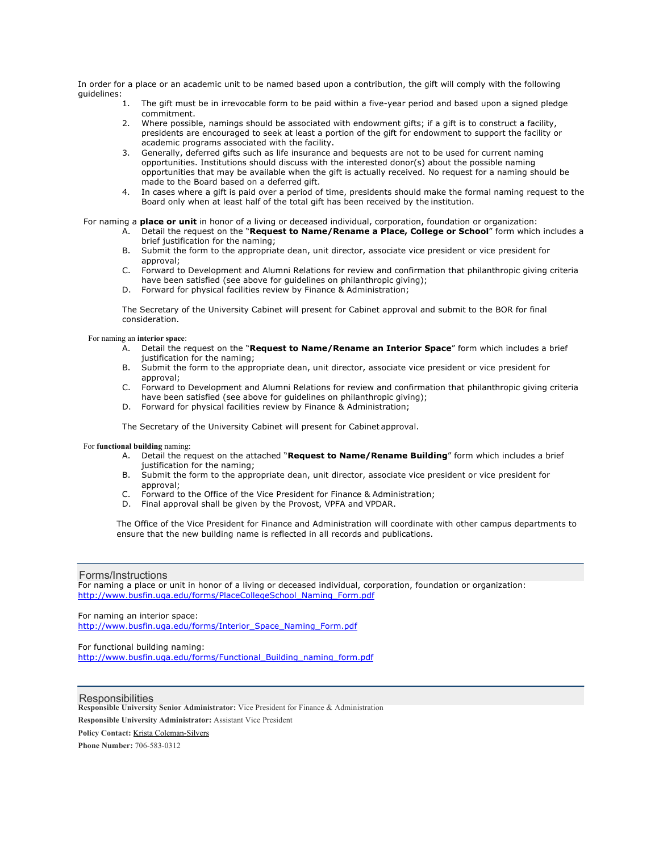In order for a place or an academic unit to be named based upon a contribution, the gift will comply with the following guidelines:<br>1.

- The gift must be in irrevocable form to be paid within a five-year period and based upon a signed pledge commitment.
- 2. Where possible, namings should be associated with endowment gifts; if a gift is to construct a facility, presidents are encouraged to seek at least a portion of the gift for endowment to support the facility or academic programs associated with the facility.
- 3. Generally, deferred gifts such as life insurance and bequests are not to be used for current naming opportunities. Institutions should discuss with the interested donor(s) about the possible naming opportunities that may be available when the gift is actually received. No request for a naming should be made to the Board based on a deferred gift.
- 4. In cases where a gift is paid over a period of time, presidents should make the formal naming request to the Board only when at least half of the total gift has been received by the institution.

#### For naming a **place or unit** in honor of a living or deceased individual, corporation, foundation or organization:

- A. Detail the request on the "**Request to Name/Rename a Place, College or School**" form which includes a brief justification for the naming;
- B. Submit the form to the appropriate dean, unit director, associate vice president or vice president for approval;
- C. Forward to Development and Alumni Relations for review and confirmation that philanthropic giving criteria have been satisfied (see above for guidelines on philanthropic giving);
- D. Forward for physical facilities review by Finance & Administration;

The Secretary of the University Cabinet will present for Cabinet approval and submit to the BOR for final consideration.

#### For naming an **interior space**:

- A. Detail the request on the "**Request to Name/Rename an Interior Space**" form which includes a brief justification for the naming;
- B. Submit the form to the appropriate dean, unit director, associate vice president or vice president for approval;
- C. Forward to Development and Alumni Relations for review and confirmation that philanthropic giving criteria have been satisfied (see above for guidelines on philanthropic giving);
- D. Forward for physical facilities review by Finance & Administration;

The Secretary of the University Cabinet will present for Cabinet approval.

#### For **functional building** naming:

- A. Detail the request on the attached "**Request to Name/Rename Building**" form which includes a brief justification for the naming;
- B. Submit the form to the appropriate dean, unit director, associate vice president or vice president for approval;
- C. Forward to the Office of the Vice President for Finance & Administration;
- D. Final approval shall be given by the Provost, VPFA and VPDAR.

The Office of the Vice President for Finance and Administration will coordinate with other campus departments to ensure that the new building name is reflected in all records and publications.

#### Forms/Instructions

For naming a place or unit in honor of a living or deceased individual, corporation, foundation or organization: http://www.busfin.uga.edu/forms/PlaceCollegeSchool\_Naming\_Form.pdf

For naming an interior space:

http://www.busfin.uga.edu/forms/Interior\_Space\_Naming\_Form.pdf

For functional building naming: http://www.busfin.uga.edu/forms/Functional\_Building\_naming\_form.pdf

## Responsibilities Responsibilities

**Responsible University Senior Administrator:** Vice President for Finance & Administration

**Responsible University Administrator:** Assistant Vice President

**Policy Contact:** Krista Coleman-Silvers

**Phone Number:** 706-583-0312